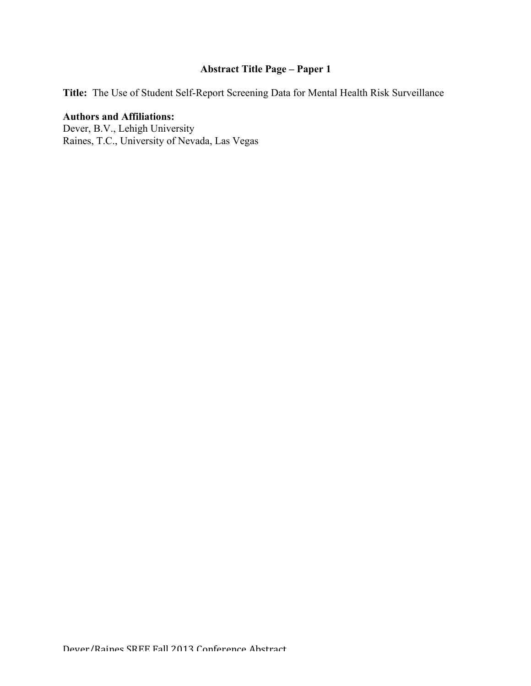# **Abstract Title Page – Paper 1**

**Title:** The Use of Student Self-Report Screening Data for Mental Health Risk Surveillance

# **Authors and Affiliations:**

Dever, B.V., Lehigh University Raines, T.C., University of Nevada, Las Vegas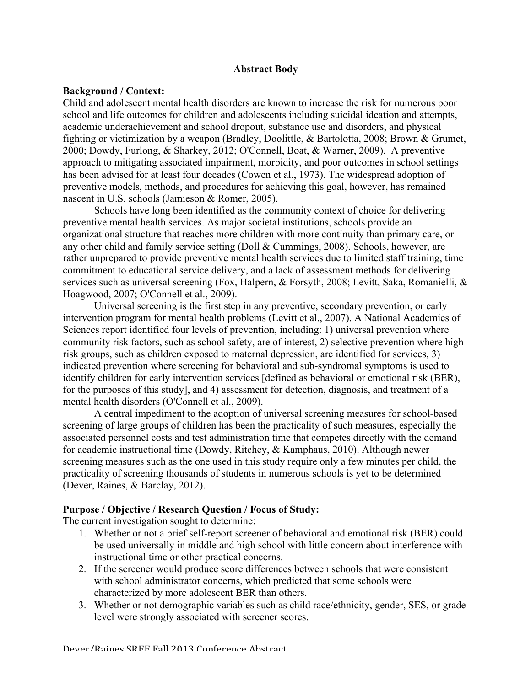# **Abstract Body**

#### **Background / Context:**

Child and adolescent mental health disorders are known to increase the risk for numerous poor school and life outcomes for children and adolescents including suicidal ideation and attempts, academic underachievement and school dropout, substance use and disorders, and physical fighting or victimization by a weapon (Bradley, Doolittle, & Bartolotta, 2008; Brown & Grumet, 2000; Dowdy, Furlong, & Sharkey, 2012; O'Connell, Boat, & Warner, 2009). A preventive approach to mitigating associated impairment, morbidity, and poor outcomes in school settings has been advised for at least four decades (Cowen et al., 1973). The widespread adoption of preventive models, methods, and procedures for achieving this goal, however, has remained nascent in U.S. schools (Jamieson & Romer, 2005).

Schools have long been identified as the community context of choice for delivering preventive mental health services. As major societal institutions, schools provide an organizational structure that reaches more children with more continuity than primary care, or any other child and family service setting (Doll & Cummings, 2008). Schools, however, are rather unprepared to provide preventive mental health services due to limited staff training, time commitment to educational service delivery, and a lack of assessment methods for delivering services such as universal screening (Fox, Halpern, & Forsyth, 2008; Levitt, Saka, Romanielli, & Hoagwood, 2007; O'Connell et al., 2009).

Universal screening is the first step in any preventive, secondary prevention, or early intervention program for mental health problems (Levitt et al., 2007). A National Academies of Sciences report identified four levels of prevention, including: 1) universal prevention where community risk factors, such as school safety, are of interest, 2) selective prevention where high risk groups, such as children exposed to maternal depression, are identified for services, 3) indicated prevention where screening for behavioral and sub-syndromal symptoms is used to identify children for early intervention services [defined as behavioral or emotional risk (BER), for the purposes of this study], and 4) assessment for detection, diagnosis, and treatment of a mental health disorders (O'Connell et al., 2009).

A central impediment to the adoption of universal screening measures for school-based screening of large groups of children has been the practicality of such measures, especially the associated personnel costs and test administration time that competes directly with the demand for academic instructional time (Dowdy, Ritchey, & Kamphaus, 2010). Although newer screening measures such as the one used in this study require only a few minutes per child, the practicality of screening thousands of students in numerous schools is yet to be determined (Dever, Raines, & Barclay, 2012).

# **Purpose / Objective / Research Question / Focus of Study:**

The current investigation sought to determine:

- 1. Whether or not a brief self-report screener of behavioral and emotional risk (BER) could be used universally in middle and high school with little concern about interference with instructional time or other practical concerns.
- 2. If the screener would produce score differences between schools that were consistent with school administrator concerns, which predicted that some schools were characterized by more adolescent BER than others.
- 3. Whether or not demographic variables such as child race/ethnicity, gender, SES, or grade level were strongly associated with screener scores.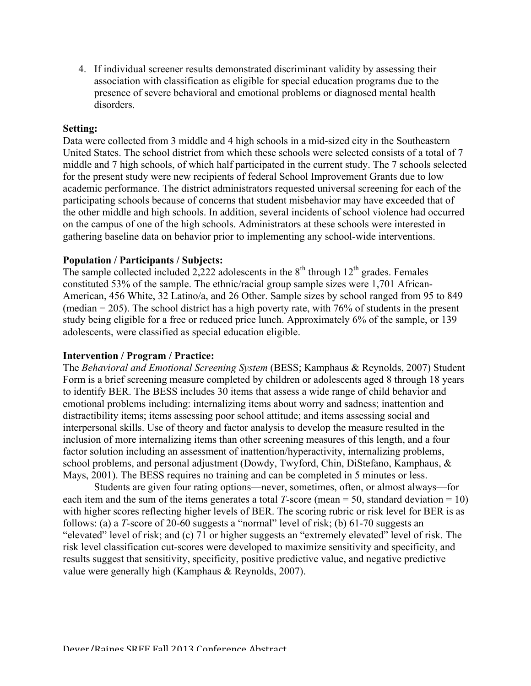4. If individual screener results demonstrated discriminant validity by assessing their association with classification as eligible for special education programs due to the presence of severe behavioral and emotional problems or diagnosed mental health disorders.

# **Setting:**

Data were collected from 3 middle and 4 high schools in a mid-sized city in the Southeastern United States. The school district from which these schools were selected consists of a total of 7 middle and 7 high schools, of which half participated in the current study. The 7 schools selected for the present study were new recipients of federal School Improvement Grants due to low academic performance. The district administrators requested universal screening for each of the participating schools because of concerns that student misbehavior may have exceeded that of the other middle and high schools. In addition, several incidents of school violence had occurred on the campus of one of the high schools. Administrators at these schools were interested in gathering baseline data on behavior prior to implementing any school-wide interventions.

# **Population / Participants / Subjects:**

The sample collected included 2,222 adolescents in the  $8<sup>th</sup>$  through 12<sup>th</sup> grades. Females constituted 53% of the sample. The ethnic/racial group sample sizes were 1,701 African-American, 456 White, 32 Latino/a, and 26 Other. Sample sizes by school ranged from 95 to 849 (median = 205). The school district has a high poverty rate, with 76% of students in the present study being eligible for a free or reduced price lunch. Approximately 6% of the sample, or 139 adolescents, were classified as special education eligible.

# **Intervention / Program / Practice:**

The *Behavioral and Emotional Screening System* (BESS; Kamphaus & Reynolds, 2007) Student Form is a brief screening measure completed by children or adolescents aged 8 through 18 years to identify BER. The BESS includes 30 items that assess a wide range of child behavior and emotional problems including: internalizing items about worry and sadness; inattention and distractibility items; items assessing poor school attitude; and items assessing social and interpersonal skills. Use of theory and factor analysis to develop the measure resulted in the inclusion of more internalizing items than other screening measures of this length, and a four factor solution including an assessment of inattention/hyperactivity, internalizing problems, school problems, and personal adjustment (Dowdy, Twyford, Chin, DiStefano, Kamphaus, & Mays, 2001). The BESS requires no training and can be completed in 5 minutes or less.

Students are given four rating options—never, sometimes, often, or almost always—for each item and the sum of the items generates a total *T*-score (mean = 50, standard deviation = 10) with higher scores reflecting higher levels of BER. The scoring rubric or risk level for BER is as follows: (a) a *T-*score of 20-60 suggests a "normal" level of risk; (b) 61-70 suggests an "elevated" level of risk; and (c) 71 or higher suggests an "extremely elevated" level of risk. The risk level classification cut-scores were developed to maximize sensitivity and specificity, and results suggest that sensitivity, specificity, positive predictive value, and negative predictive value were generally high (Kamphaus & Reynolds, 2007).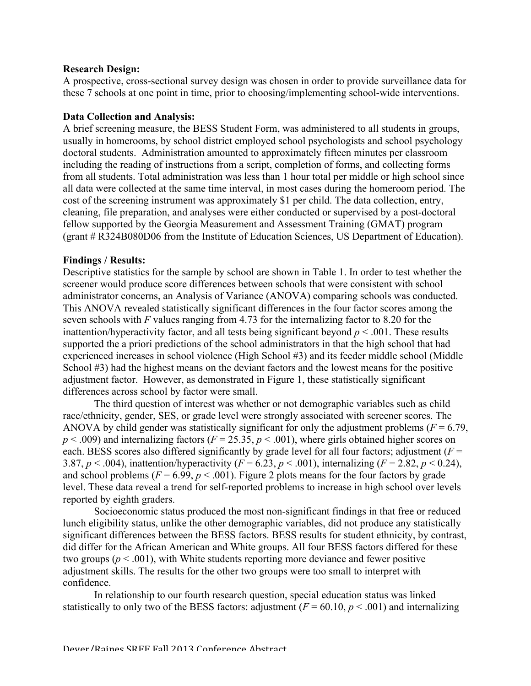#### **Research Design:**

A prospective, cross-sectional survey design was chosen in order to provide surveillance data for these 7 schools at one point in time, prior to choosing/implementing school-wide interventions.

#### **Data Collection and Analysis:**

A brief screening measure, the BESS Student Form, was administered to all students in groups, usually in homerooms, by school district employed school psychologists and school psychology doctoral students. Administration amounted to approximately fifteen minutes per classroom including the reading of instructions from a script, completion of forms, and collecting forms from all students. Total administration was less than 1 hour total per middle or high school since all data were collected at the same time interval, in most cases during the homeroom period. The cost of the screening instrument was approximately \$1 per child. The data collection, entry, cleaning, file preparation, and analyses were either conducted or supervised by a post-doctoral fellow supported by the Georgia Measurement and Assessment Training (GMAT) program (grant # R324B080D06 from the Institute of Education Sciences, US Department of Education).

#### **Findings / Results:**

Descriptive statistics for the sample by school are shown in Table 1. In order to test whether the screener would produce score differences between schools that were consistent with school administrator concerns, an Analysis of Variance (ANOVA) comparing schools was conducted. This ANOVA revealed statistically significant differences in the four factor scores among the seven schools with *F* values ranging from 4.73 for the internalizing factor to 8.20 for the inattention/hyperactivity factor, and all tests being significant beyond  $p < .001$ . These results supported the a priori predictions of the school administrators in that the high school that had experienced increases in school violence (High School #3) and its feeder middle school (Middle School #3) had the highest means on the deviant factors and the lowest means for the positive adjustment factor. However, as demonstrated in Figure 1, these statistically significant differences across school by factor were small.

The third question of interest was whether or not demographic variables such as child race/ethnicity, gender, SES, or grade level were strongly associated with screener scores. The ANOVA by child gender was statistically significant for only the adjustment problems ( $F = 6.79$ ,  $p < .009$ ) and internalizing factors ( $F = 25.35$ ,  $p < .001$ ), where girls obtained higher scores on each. BESS scores also differed significantly by grade level for all four factors; adjustment  $(F =$ 3.87,  $p < .004$ ), inattention/hyperactivity ( $F = 6.23$ ,  $p < .001$ ), internalizing ( $F = 2.82$ ,  $p < .024$ ), and school problems ( $F = 6.99$ ,  $p < .001$ ). Figure 2 plots means for the four factors by grade level. These data reveal a trend for self-reported problems to increase in high school over levels reported by eighth graders.

Socioeconomic status produced the most non-significant findings in that free or reduced lunch eligibility status, unlike the other demographic variables, did not produce any statistically significant differences between the BESS factors. BESS results for student ethnicity, by contrast, did differ for the African American and White groups. All four BESS factors differed for these two groups ( $p < .001$ ), with White students reporting more deviance and fewer positive adjustment skills. The results for the other two groups were too small to interpret with confidence.

In relationship to our fourth research question, special education status was linked statistically to only two of the BESS factors: adjustment  $(F = 60.10, p < .001)$  and internalizing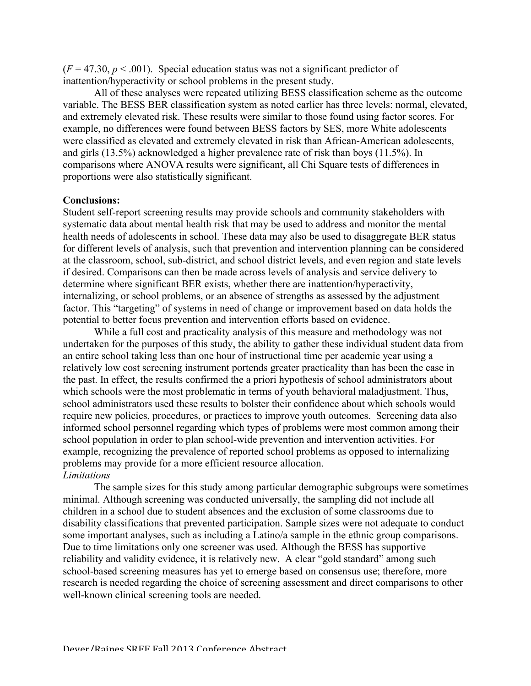$(F = 47.30, p < .001)$ . Special education status was not a significant predictor of inattention/hyperactivity or school problems in the present study.

All of these analyses were repeated utilizing BESS classification scheme as the outcome variable. The BESS BER classification system as noted earlier has three levels: normal, elevated, and extremely elevated risk. These results were similar to those found using factor scores. For example, no differences were found between BESS factors by SES, more White adolescents were classified as elevated and extremely elevated in risk than African-American adolescents, and girls (13.5%) acknowledged a higher prevalence rate of risk than boys (11.5%). In comparisons where ANOVA results were significant, all Chi Square tests of differences in proportions were also statistically significant.

#### **Conclusions:**

Student self-report screening results may provide schools and community stakeholders with systematic data about mental health risk that may be used to address and monitor the mental health needs of adolescents in school. These data may also be used to disaggregate BER status for different levels of analysis, such that prevention and intervention planning can be considered at the classroom, school, sub-district, and school district levels, and even region and state levels if desired. Comparisons can then be made across levels of analysis and service delivery to determine where significant BER exists, whether there are inattention/hyperactivity, internalizing, or school problems, or an absence of strengths as assessed by the adjustment factor. This "targeting" of systems in need of change or improvement based on data holds the potential to better focus prevention and intervention efforts based on evidence.

While a full cost and practicality analysis of this measure and methodology was not undertaken for the purposes of this study, the ability to gather these individual student data from an entire school taking less than one hour of instructional time per academic year using a relatively low cost screening instrument portends greater practicality than has been the case in the past. In effect, the results confirmed the a priori hypothesis of school administrators about which schools were the most problematic in terms of youth behavioral maladjustment. Thus, school administrators used these results to bolster their confidence about which schools would require new policies, procedures, or practices to improve youth outcomes. Screening data also informed school personnel regarding which types of problems were most common among their school population in order to plan school-wide prevention and intervention activities. For example, recognizing the prevalence of reported school problems as opposed to internalizing problems may provide for a more efficient resource allocation. *Limitations*

The sample sizes for this study among particular demographic subgroups were sometimes minimal. Although screening was conducted universally, the sampling did not include all children in a school due to student absences and the exclusion of some classrooms due to disability classifications that prevented participation. Sample sizes were not adequate to conduct some important analyses, such as including a Latino/a sample in the ethnic group comparisons. Due to time limitations only one screener was used. Although the BESS has supportive reliability and validity evidence, it is relatively new. A clear "gold standard" among such school-based screening measures has yet to emerge based on consensus use; therefore, more research is needed regarding the choice of screening assessment and direct comparisons to other well-known clinical screening tools are needed.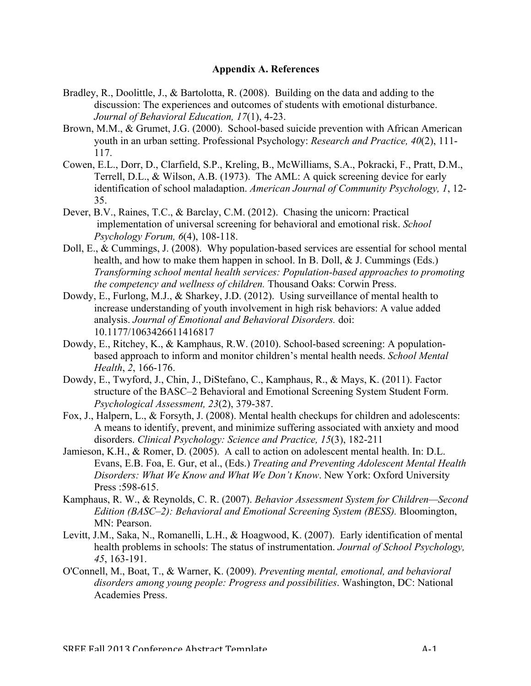#### **Appendix A. References**

- Bradley, R., Doolittle, J., & Bartolotta, R. (2008). Building on the data and adding to the discussion: The experiences and outcomes of students with emotional disturbance. *Journal of Behavioral Education, 17*(1), 4-23.
- Brown, M.M., & Grumet, J.G. (2000). School-based suicide prevention with African American youth in an urban setting. Professional Psychology: *Research and Practice, 40*(2), 111- 117.
- Cowen, E.L., Dorr, D., Clarfield, S.P., Kreling, B., McWilliams, S.A., Pokracki, F., Pratt, D.M., Terrell, D.L., & Wilson, A.B. (1973). The AML: A quick screening device for early identification of school maladaption. *American Journal of Community Psychology, 1*, 12- 35.
- Dever, B.V., Raines, T.C., & Barclay, C.M. (2012). Chasing the unicorn: Practical implementation of universal screening for behavioral and emotional risk. *School Psychology Forum, 6*(4), 108-118.
- Doll, E., & Cummings, J. (2008). Why population-based services are essential for school mental health, and how to make them happen in school. In B. Doll, & J. Cummings (Eds.) *Transforming school mental health services: Population-based approaches to promoting the competency and wellness of children.* Thousand Oaks: Corwin Press.
- Dowdy, E., Furlong, M.J., & Sharkey, J.D. (2012). Using surveillance of mental health to increase understanding of youth involvement in high risk behaviors: A value added analysis. *Journal of Emotional and Behavioral Disorders.* doi: 10.1177/1063426611416817
- Dowdy, E., Ritchey, K., & Kamphaus, R.W. (2010). School-based screening: A populationbased approach to inform and monitor children's mental health needs. *School Mental Health*, *2*, 166-176.
- Dowdy, E., Twyford, J., Chin, J., DiStefano, C., Kamphaus, R., & Mays, K. (2011). Factor structure of the BASC–2 Behavioral and Emotional Screening System Student Form. *Psychological Assessment, 23*(2), 379-387.
- Fox, J., Halpern, L., & Forsyth, J. (2008). Mental health checkups for children and adolescents: A means to identify, prevent, and minimize suffering associated with anxiety and mood disorders. *Clinical Psychology: Science and Practice, 15*(3), 182-211
- Jamieson, K.H., & Romer, D. (2005). A call to action on adolescent mental health. In: D.L. Evans, E.B. Foa, E. Gur, et al., (Eds.) *Treating and Preventing Adolescent Mental Health Disorders: What We Know and What We Don't Know*. New York: Oxford University Press : 598-615.
- Kamphaus, R. W., & Reynolds, C. R. (2007). *Behavior Assessment System for Children—Second Edition (BASC–2): Behavioral and Emotional Screening System (BESS).* Bloomington, MN: Pearson.
- Levitt, J.M., Saka, N., Romanelli, L.H., & Hoagwood, K. (2007). Early identification of mental health problems in schools: The status of instrumentation. *Journal of School Psychology, 45*, 163-191.
- O'Connell, M., Boat, T., & Warner, K. (2009). *Preventing mental, emotional, and behavioral disorders among young people: Progress and possibilities*. Washington, DC: National Academies Press.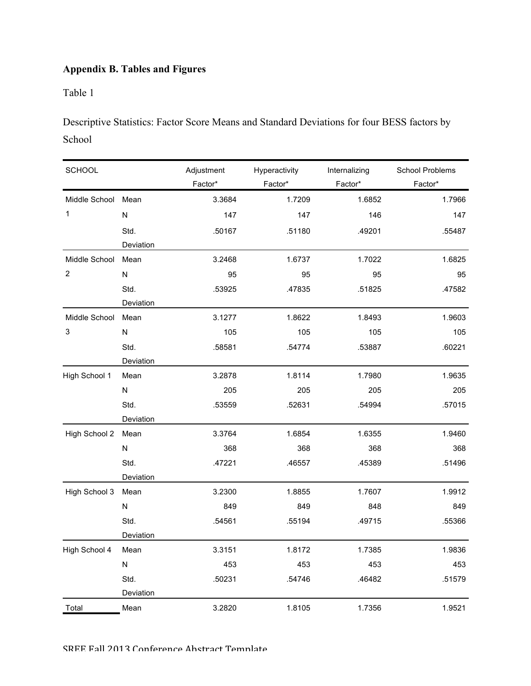# **Appendix B. Tables and Figures**

Table 1

Descriptive Statistics: Factor Score Means and Standard Deviations for four BESS factors by School

| <b>SCHOOL</b>      |           | Adjustment | Hyperactivity | Internalizing | School Problems |
|--------------------|-----------|------------|---------------|---------------|-----------------|
|                    |           | Factor*    | Factor*       | Factor*       | Factor*         |
| Middle School Mean |           | 3.3684     | 1.7209        | 1.6852        | 1.7966          |
| 1                  | N         | 147        | 147           | 146           | 147             |
|                    | Std.      | .50167     | .51180        | .49201        | .55487          |
|                    | Deviation |            |               |               |                 |
| Middle School      | Mean      | 3.2468     | 1.6737        | 1.7022        | 1.6825          |
| 2                  | N         | 95         | 95            | 95            | 95              |
|                    | Std.      | .53925     | .47835        | .51825        | .47582          |
|                    | Deviation |            |               |               |                 |
| Middle School      | Mean      | 3.1277     | 1.8622        | 1.8493        | 1.9603          |
| 3                  | ${\sf N}$ | 105        | 105           | 105           | 105             |
|                    | Std.      | .58581     | .54774        | .53887        | .60221          |
|                    | Deviation |            |               |               |                 |
| High School 1      | Mean      | 3.2878     | 1.8114        | 1.7980        | 1.9635          |
|                    | N         | 205        | 205           | 205           | 205             |
|                    | Std.      | .53559     | .52631        | .54994        | .57015          |
|                    | Deviation |            |               |               |                 |
| High School 2      | Mean      | 3.3764     | 1.6854        | 1.6355        | 1.9460          |
|                    | N         | 368        | 368           | 368           | 368             |
|                    | Std.      | .47221     | .46557        | .45389        | .51496          |
|                    | Deviation |            |               |               |                 |
| High School 3      | Mean      | 3.2300     | 1.8855        | 1.7607        | 1.9912          |
|                    | N         | 849        | 849           | 848           | 849             |
|                    | Std.      | .54561     | .55194        | .49715        | .55366          |
|                    | Deviation |            |               |               |                 |
| High School 4      | Mean      | 3.3151     | 1.8172        | 1.7385        | 1.9836          |
|                    | N         | 453        | 453           | 453           | 453             |
|                    | Std.      | .50231     | .54746        | .46482        | .51579          |
|                    | Deviation |            |               |               |                 |
| Total              | Mean      | 3.2820     | 1.8105        | 1.7356        | 1.9521          |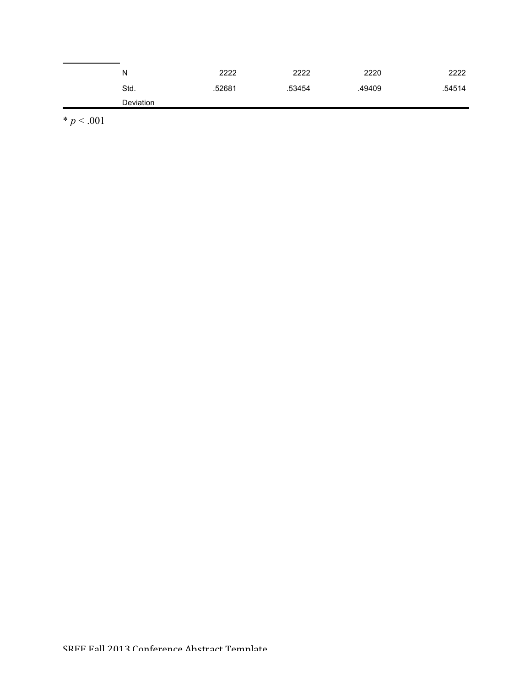| N         | 2222   | 2222   | 2220   | 2222   |
|-----------|--------|--------|--------|--------|
| Std.      | .52681 | .53454 | .49409 | .54514 |
| Deviation |        |        |        |        |

 $* p < .001$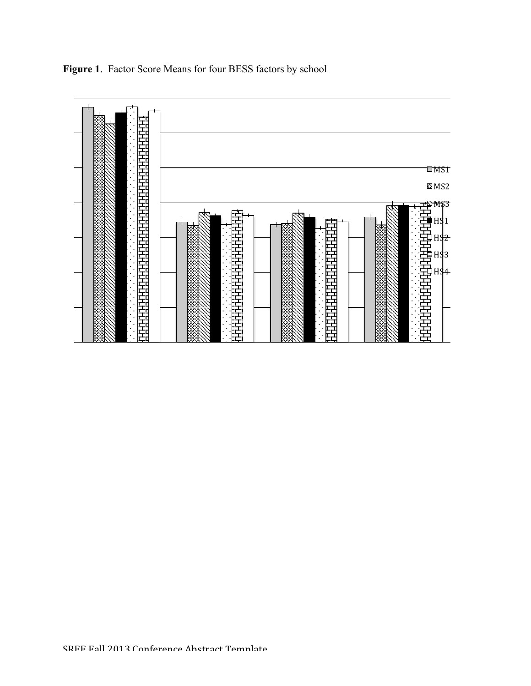

**Figure 1**. Factor Score Means for four BESS factors by school